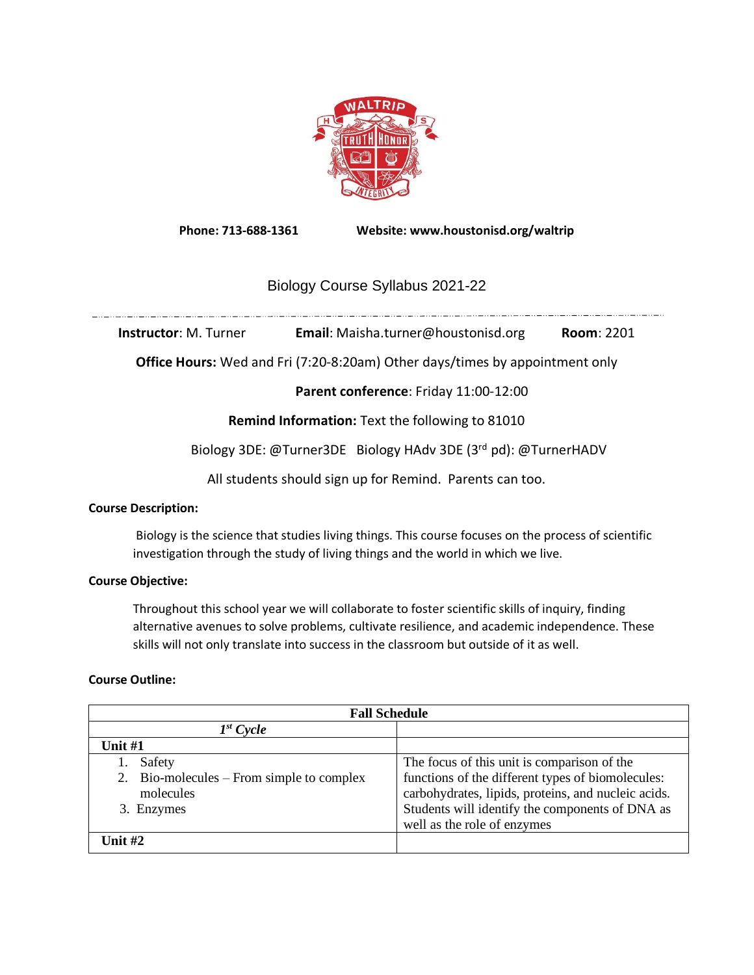

**Phone: 713-688-1361 Website: www.houstonisd.org/waltrip**

# Biology Course Syllabus 2021-22

<u>,, and mandale neutrino is a construction of the neutrino is neutrino is neutrino is neutrino is neutrino is n</u>

**Instructor**: M. Turner **Email**: Maisha.turner@houstonisd.org **Room**: 2201

**Office Hours:** Wed and Fri (7:20-8:20am) Other days/times by appointment only

**Parent conference**: Friday 11:00-12:00

**Remind Information:** Text the following to 81010

Biology 3DE: @Turner3DE Biology HAdv 3DE (3rd pd): @TurnerHADV

All students should sign up for Remind. Parents can too.

## **Course Description:**

Biology is the science that studies living things. This course focuses on the process of scientific investigation through the study of living things and the world in which we live.

# **Course Objective:**

Throughout this school year we will collaborate to foster scientific skills of inquiry, finding alternative avenues to solve problems, cultivate resilience, and academic independence. These skills will not only translate into success in the classroom but outside of it as well.

# **Course Outline:**

| <b>Fall Schedule</b>                                |                                                                                                                                       |  |
|-----------------------------------------------------|---------------------------------------------------------------------------------------------------------------------------------------|--|
| $I^{st}$ Cycle                                      |                                                                                                                                       |  |
| Unit $#1$                                           |                                                                                                                                       |  |
| Safety<br>2. Bio-molecules – From simple to complex | The focus of this unit is comparison of the<br>functions of the different types of biomolecules:                                      |  |
| molecules<br>3. Enzymes                             | carbohydrates, lipids, proteins, and nucleic acids.<br>Students will identify the components of DNA as<br>well as the role of enzymes |  |
| Unit $#2$                                           |                                                                                                                                       |  |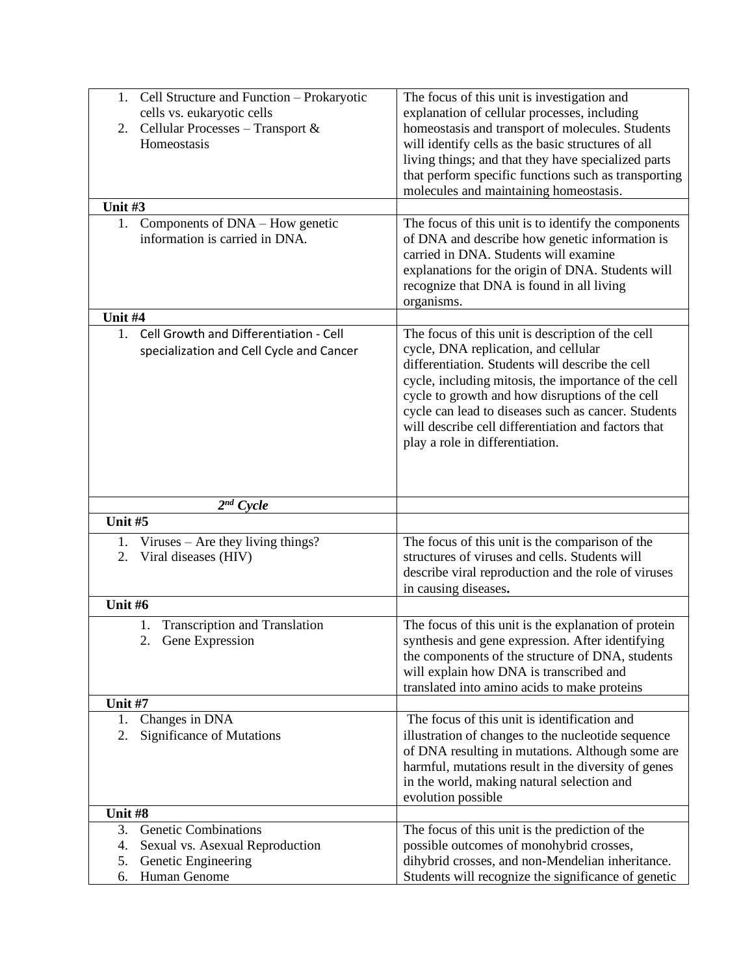| Cell Structure and Function - Prokaryotic<br>1.<br>cells vs. eukaryotic cells                                                 | The focus of this unit is investigation and<br>explanation of cellular processes, including                                                                                                                                                                                                                                                                                                               |
|-------------------------------------------------------------------------------------------------------------------------------|-----------------------------------------------------------------------------------------------------------------------------------------------------------------------------------------------------------------------------------------------------------------------------------------------------------------------------------------------------------------------------------------------------------|
| Cellular Processes - Transport &<br>2.<br>Homeostasis                                                                         | homeostasis and transport of molecules. Students<br>will identify cells as the basic structures of all<br>living things; and that they have specialized parts<br>that perform specific functions such as transporting<br>molecules and maintaining homeostasis.                                                                                                                                           |
| Unit #3                                                                                                                       |                                                                                                                                                                                                                                                                                                                                                                                                           |
| Components of DNA – How genetic<br>1.<br>information is carried in DNA.                                                       | The focus of this unit is to identify the components<br>of DNA and describe how genetic information is<br>carried in DNA. Students will examine<br>explanations for the origin of DNA. Students will<br>recognize that DNA is found in all living<br>organisms.                                                                                                                                           |
| Unit #4                                                                                                                       |                                                                                                                                                                                                                                                                                                                                                                                                           |
| 1.<br>Cell Growth and Differentiation - Cell<br>specialization and Cell Cycle and Cancer                                      | The focus of this unit is description of the cell<br>cycle, DNA replication, and cellular<br>differentiation. Students will describe the cell<br>cycle, including mitosis, the importance of the cell<br>cycle to growth and how disruptions of the cell<br>cycle can lead to diseases such as cancer. Students<br>will describe cell differentiation and factors that<br>play a role in differentiation. |
| $2^{nd}$ Cycle                                                                                                                |                                                                                                                                                                                                                                                                                                                                                                                                           |
| Unit #5                                                                                                                       |                                                                                                                                                                                                                                                                                                                                                                                                           |
| Viruses $-$ Are they living things?<br>1.<br>Viral diseases (HIV)<br>2.                                                       | The focus of this unit is the comparison of the<br>structures of viruses and cells. Students will<br>describe viral reproduction and the role of viruses<br>in causing diseases.                                                                                                                                                                                                                          |
| Unit #6                                                                                                                       |                                                                                                                                                                                                                                                                                                                                                                                                           |
| <b>Transcription and Translation</b><br>1.<br>2. Gene Expression                                                              | The focus of this unit is the explanation of protein<br>synthesis and gene expression. After identifying<br>the components of the structure of DNA, students<br>will explain how DNA is transcribed and<br>translated into amino acids to make proteins                                                                                                                                                   |
| Unit #7                                                                                                                       |                                                                                                                                                                                                                                                                                                                                                                                                           |
| Changes in DNA<br>1.<br>Significance of Mutations<br>2.                                                                       | The focus of this unit is identification and<br>illustration of changes to the nucleotide sequence<br>of DNA resulting in mutations. Although some are<br>harmful, mutations result in the diversity of genes<br>in the world, making natural selection and<br>evolution possible                                                                                                                         |
| Unit #8                                                                                                                       |                                                                                                                                                                                                                                                                                                                                                                                                           |
| 3.<br><b>Genetic Combinations</b><br>Sexual vs. Asexual Reproduction<br>4.<br>5.<br>Genetic Engineering<br>Human Genome<br>6. | The focus of this unit is the prediction of the<br>possible outcomes of monohybrid crosses,<br>dihybrid crosses, and non-Mendelian inheritance.<br>Students will recognize the significance of genetic                                                                                                                                                                                                    |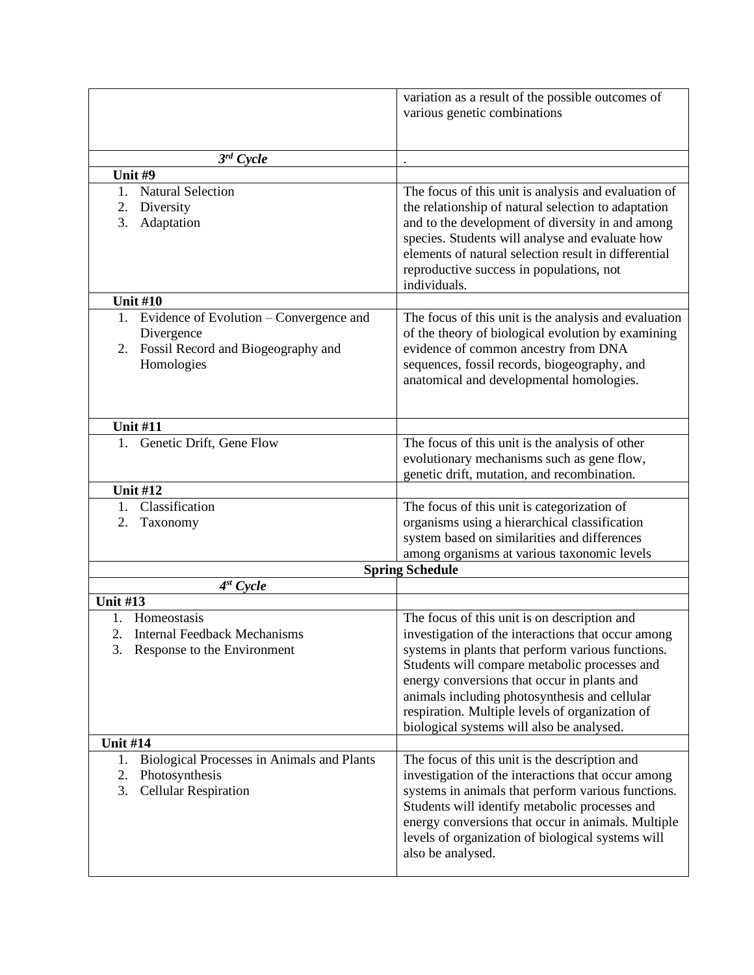|                                                  | variation as a result of the possible outcomes of<br>various genetic combinations                                                                                                                                       |  |
|--------------------------------------------------|-------------------------------------------------------------------------------------------------------------------------------------------------------------------------------------------------------------------------|--|
| $3^{rd}$ Cycle                                   |                                                                                                                                                                                                                         |  |
| Unit #9                                          |                                                                                                                                                                                                                         |  |
| 1.<br><b>Natural Selection</b>                   | The focus of this unit is analysis and evaluation of                                                                                                                                                                    |  |
| Diversity<br>2.                                  | the relationship of natural selection to adaptation                                                                                                                                                                     |  |
| 3.<br>Adaptation                                 | and to the development of diversity in and among<br>species. Students will analyse and evaluate how<br>elements of natural selection result in differential<br>reproductive success in populations, not<br>individuals. |  |
| <b>Unit #10</b>                                  |                                                                                                                                                                                                                         |  |
| 1. Evidence of Evolution – Convergence and       | The focus of this unit is the analysis and evaluation                                                                                                                                                                   |  |
| Divergence                                       | of the theory of biological evolution by examining                                                                                                                                                                      |  |
| Fossil Record and Biogeography and<br>2.         | evidence of common ancestry from DNA                                                                                                                                                                                    |  |
| Homologies                                       | sequences, fossil records, biogeography, and                                                                                                                                                                            |  |
|                                                  | anatomical and developmental homologies.                                                                                                                                                                                |  |
|                                                  |                                                                                                                                                                                                                         |  |
|                                                  |                                                                                                                                                                                                                         |  |
| <b>Unit #11</b>                                  |                                                                                                                                                                                                                         |  |
| Genetic Drift, Gene Flow<br>1.                   | The focus of this unit is the analysis of other                                                                                                                                                                         |  |
|                                                  | evolutionary mechanisms such as gene flow,                                                                                                                                                                              |  |
|                                                  | genetic drift, mutation, and recombination.                                                                                                                                                                             |  |
| <b>Unit #12</b>                                  |                                                                                                                                                                                                                         |  |
| Classification<br>1.                             | The focus of this unit is categorization of                                                                                                                                                                             |  |
| 2.<br>Taxonomy                                   | organisms using a hierarchical classification                                                                                                                                                                           |  |
|                                                  | system based on similarities and differences                                                                                                                                                                            |  |
|                                                  | among organisms at various taxonomic levels                                                                                                                                                                             |  |
|                                                  | <b>Spring Schedule</b>                                                                                                                                                                                                  |  |
| $4^{st}$ Cycle                                   |                                                                                                                                                                                                                         |  |
| <b>Unit #13</b>                                  |                                                                                                                                                                                                                         |  |
| Homeostasis<br>1.                                | The focus of this unit is on description and                                                                                                                                                                            |  |
| 2.<br><b>Internal Feedback Mechanisms</b>        | investigation of the interactions that occur among                                                                                                                                                                      |  |
| 3.<br>Response to the Environment                | systems in plants that perform various functions.                                                                                                                                                                       |  |
|                                                  | Students will compare metabolic processes and                                                                                                                                                                           |  |
|                                                  | energy conversions that occur in plants and                                                                                                                                                                             |  |
|                                                  | animals including photosynthesis and cellular                                                                                                                                                                           |  |
|                                                  | respiration. Multiple levels of organization of                                                                                                                                                                         |  |
| <b>Unit #14</b>                                  | biological systems will also be analysed.                                                                                                                                                                               |  |
| Biological Processes in Animals and Plants<br>1. | The focus of this unit is the description and                                                                                                                                                                           |  |
| 2.<br>Photosynthesis                             | investigation of the interactions that occur among                                                                                                                                                                      |  |
| <b>Cellular Respiration</b><br>3.                | systems in animals that perform various functions.                                                                                                                                                                      |  |
|                                                  | Students will identify metabolic processes and                                                                                                                                                                          |  |
|                                                  | energy conversions that occur in animals. Multiple                                                                                                                                                                      |  |
|                                                  | levels of organization of biological systems will                                                                                                                                                                       |  |
|                                                  | also be analysed.                                                                                                                                                                                                       |  |
|                                                  |                                                                                                                                                                                                                         |  |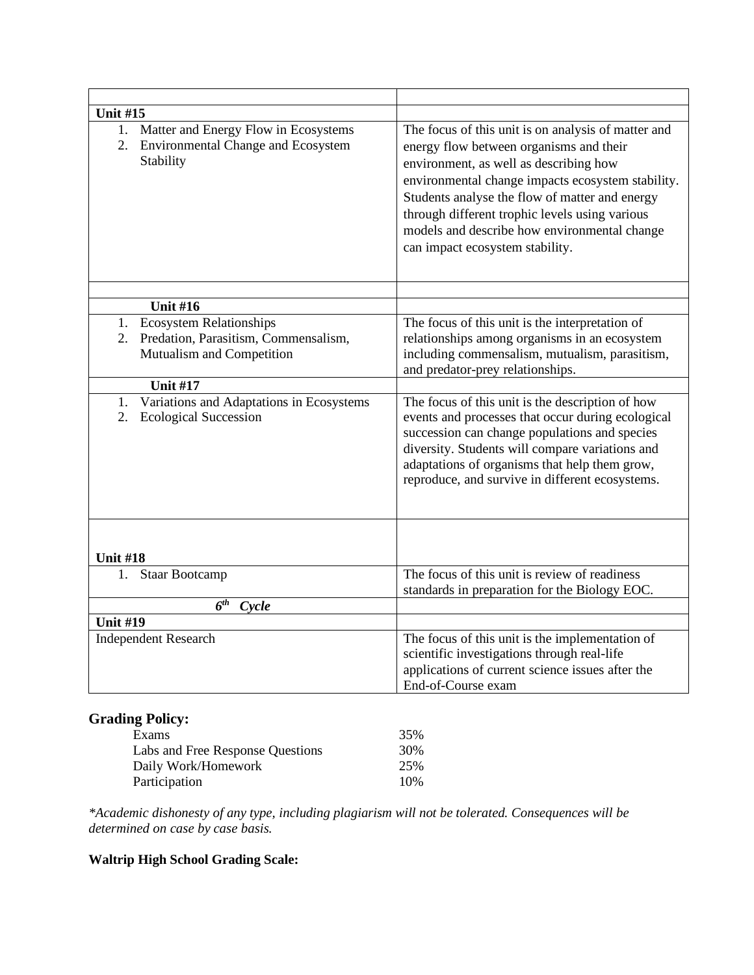| <b>Unit #15</b>                                                                               |                                                                                                                                                                                                                                                                                                                                                                                      |
|-----------------------------------------------------------------------------------------------|--------------------------------------------------------------------------------------------------------------------------------------------------------------------------------------------------------------------------------------------------------------------------------------------------------------------------------------------------------------------------------------|
| 1. Matter and Energy Flow in Ecosystems<br>2. Environmental Change and Ecosystem<br>Stability | The focus of this unit is on analysis of matter and<br>energy flow between organisms and their<br>environment, as well as describing how<br>environmental change impacts ecosystem stability.<br>Students analyse the flow of matter and energy<br>through different trophic levels using various<br>models and describe how environmental change<br>can impact ecosystem stability. |
| <b>Unit #16</b>                                                                               |                                                                                                                                                                                                                                                                                                                                                                                      |
| <b>Ecosystem Relationships</b><br>1.                                                          | The focus of this unit is the interpretation of                                                                                                                                                                                                                                                                                                                                      |
| 2. Predation, Parasitism, Commensalism,                                                       | relationships among organisms in an ecosystem                                                                                                                                                                                                                                                                                                                                        |
| Mutualism and Competition                                                                     | including commensalism, mutualism, parasitism,                                                                                                                                                                                                                                                                                                                                       |
|                                                                                               | and predator-prey relationships.                                                                                                                                                                                                                                                                                                                                                     |
| <b>Unit #17</b>                                                                               |                                                                                                                                                                                                                                                                                                                                                                                      |
| Variations and Adaptations in Ecosystems<br>1.<br><b>Ecological Succession</b><br>2.          | The focus of this unit is the description of how<br>events and processes that occur during ecological<br>succession can change populations and species<br>diversity. Students will compare variations and<br>adaptations of organisms that help them grow,<br>reproduce, and survive in different ecosystems.                                                                        |
| <b>Unit #18</b>                                                                               |                                                                                                                                                                                                                                                                                                                                                                                      |
| <b>Staar Bootcamp</b><br>1.                                                                   | The focus of this unit is review of readiness<br>standards in preparation for the Biology EOC.                                                                                                                                                                                                                                                                                       |
| 6 <sup>th</sup><br>Cycle                                                                      |                                                                                                                                                                                                                                                                                                                                                                                      |
| <b>Unit #19</b>                                                                               |                                                                                                                                                                                                                                                                                                                                                                                      |
| <b>Independent Research</b>                                                                   | The focus of this unit is the implementation of<br>scientific investigations through real-life<br>applications of current science issues after the<br>End-of-Course exam                                                                                                                                                                                                             |

# **Grading Policy:**

| Exams                            | 35% |
|----------------------------------|-----|
| Labs and Free Response Questions | 30% |
| Daily Work/Homework              | 25% |
| Participation                    | 10% |

*\*Academic dishonesty of any type, including plagiarism will not be tolerated. Consequences will be determined on case by case basis.* 

# **Waltrip High School Grading Scale:**